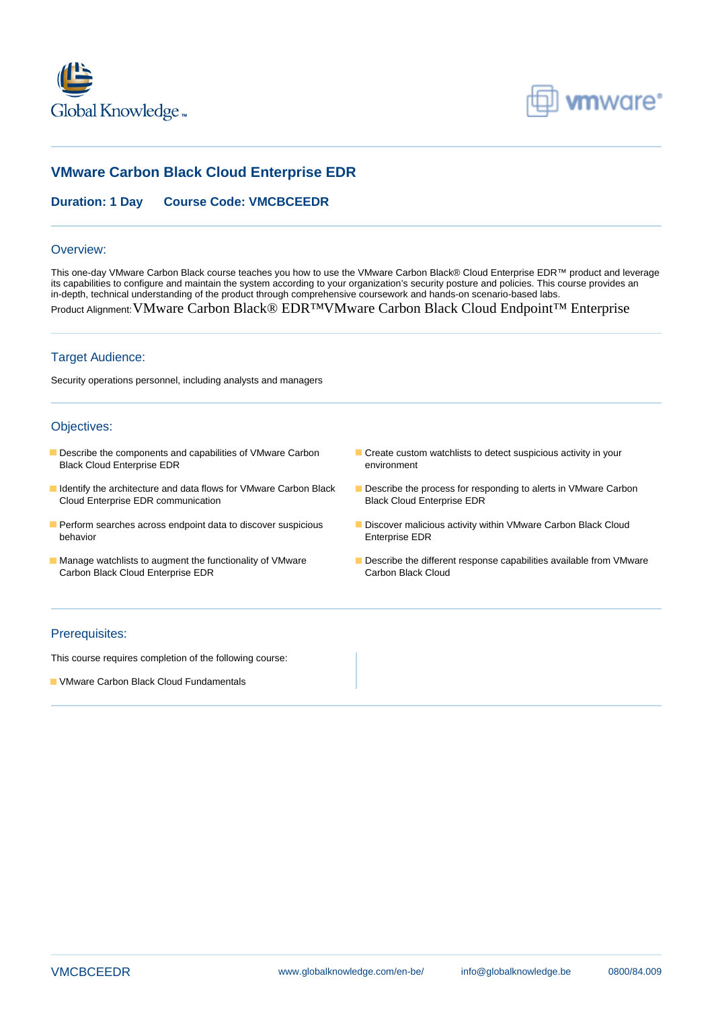



# **VMware Carbon Black Cloud Enterprise EDR**

# **Duration: 1 Day Course Code: VMCBCEEDR**

#### Overview:

This one-day VMware Carbon Black course teaches you how to use the VMware Carbon Black® Cloud Enterprise EDR™ product and leverage its capabilities to configure and maintain the system according to your organization's security posture and policies. This course provides an in-depth, technical understanding of the product through comprehensive coursework and hands-on scenario-based labs. Product Alignment: VMware Carbon Black® EDR™VMware Carbon Black Cloud Endpoint<sup>™</sup> Enterprise

## Target Audience:

Security operations personnel, including analysts and managers

## Objectives:

- Describe the components and capabilities of VMware Carbon Create custom watchlists to detect suspicious activity in your<br>
Black Cloud Enterprise EDR<br>
environment Black Cloud Enterprise EDR
- I Identify the architecture and data flows for VMware Carbon Black Describe the process for responding to alerts in VMware Carbon Cloud Enterprise EDR communication **Black Cloud Enterprise EDR**
- Perform searches across endpoint data to discover suspicious **Discover malicious activity within VMware Carbon Black Cloud** behavior **Enterprise EDR**
- Carbon Black Cloud Enterprise EDR
- 
- 
- 
- Manage watchlists to augment the functionality of VMware Describe the different response capabilities available from VMware<br>Carbon Black Cloud Enterprise EDR<br>Carbon Black Cloud

#### Prerequisites:

This course requires completion of the following course:

**U** VMware Carbon Black Cloud Fundamentals